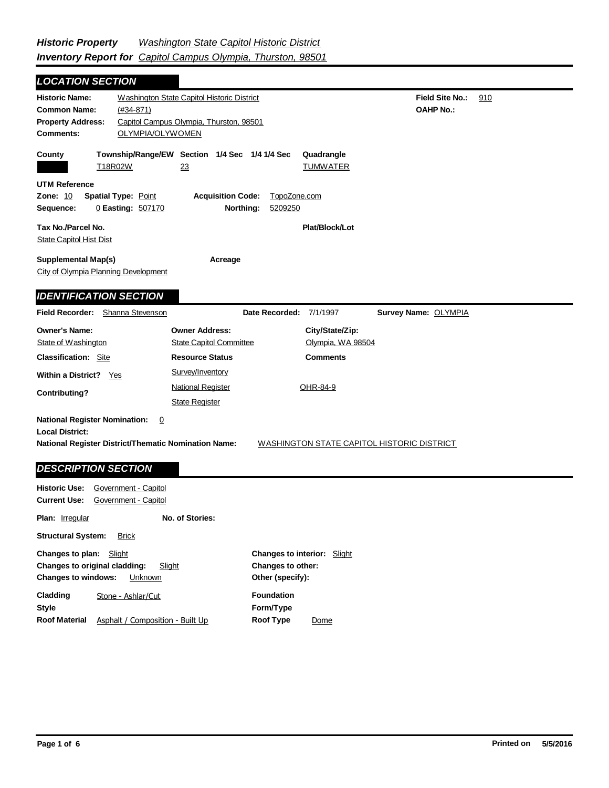| <b>LOCATION SECTION</b>                                                                      |                                                                                                                          |                                                   |  |  |
|----------------------------------------------------------------------------------------------|--------------------------------------------------------------------------------------------------------------------------|---------------------------------------------------|--|--|
| <b>Historic Name:</b><br><b>Common Name:</b><br><b>Property Address:</b><br><b>Comments:</b> | Washington State Capitol Historic District<br>$(#34-871)$<br>Capitol Campus Olympia, Thurston, 98501<br>OLYMPIA/OLYWOMEN | <b>Field Site No.:</b><br>910<br><b>OAHP No.:</b> |  |  |
| County<br>T18R02W                                                                            | Township/Range/EW Section 1/4 Sec 1/4 1/4 Sec<br>23                                                                      | Quadrangle<br><b>TUMWATER</b>                     |  |  |
| <b>UTM Reference</b><br><b>Zone: 10</b><br><b>Spatial Type: Point</b><br>Sequence:           | <b>Acquisition Code:</b><br>TopoZone.com<br>Northing:<br>0 Easting: 507170<br>5209250                                    |                                                   |  |  |
| Tax No./Parcel No.<br><b>State Capitol Hist Dist</b>                                         |                                                                                                                          | Plat/Block/Lot                                    |  |  |
| <b>Supplemental Map(s)</b><br>Acreage<br>City of Olympia Planning Development                |                                                                                                                          |                                                   |  |  |
| <b>IDENTIFICATION SECTION</b>                                                                |                                                                                                                          |                                                   |  |  |
| <b>Field Recorder:</b>                                                                       | Shanna Stevenson<br>Date Recorded: 7/1/1997                                                                              | Survey Name: OLYMPIA                              |  |  |
| <b>Owner's Name:</b>                                                                         | <b>Owner Address:</b>                                                                                                    | City/State/Zip:                                   |  |  |
| State of Washington                                                                          | <b>State Capitol Committee</b>                                                                                           | Olympia, WA 98504                                 |  |  |
| <b>Classification: Site</b>                                                                  | <b>Resource Status</b>                                                                                                   | <b>Comments</b>                                   |  |  |
| <b>Within a District?</b><br>Yes                                                             | Survey/Inventory                                                                                                         |                                                   |  |  |
| Contributing?                                                                                | <b>National Register</b>                                                                                                 | OHR-84-9                                          |  |  |
|                                                                                              | <b>State Register</b>                                                                                                    |                                                   |  |  |
| <b>National Register Nomination:</b><br><b>Local District:</b>                               | 0<br><b>National Register District/Thematic Nomination Name:</b>                                                         | WASHINGTON STATE CAPITOL HISTORIC DISTRICT        |  |  |
| <b>DESCRIPTION SECTION</b>                                                                   |                                                                                                                          |                                                   |  |  |

| Government - Capitol             |                                                                                                                                      |      |
|----------------------------------|--------------------------------------------------------------------------------------------------------------------------------------|------|
|                                  |                                                                                                                                      |      |
| No. of Stories:                  |                                                                                                                                      |      |
| <b>Brick</b>                     |                                                                                                                                      |      |
| Slight                           | <b>Changes to interior:</b> Slight                                                                                                   |      |
| Slight                           | Changes to other:                                                                                                                    |      |
| Unknown                          | Other (specify):                                                                                                                     |      |
| Stone - Ashlar/Cut               | <b>Foundation</b>                                                                                                                    |      |
|                                  | Form/Type                                                                                                                            |      |
| Asphalt / Composition - Built Up | <b>Roof Type</b>                                                                                                                     | Dome |
|                                  | Government - Capitol<br><b>Structural System:</b><br>Changes to plan:<br>Changes to original cladding:<br><b>Changes to windows:</b> |      |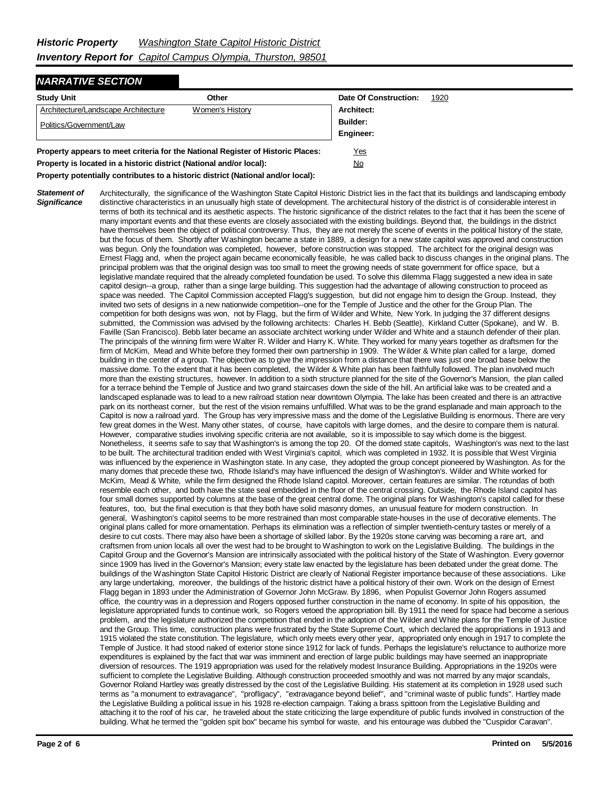## *NARRATIVE SECTION*

| <b>Study Unit</b>                   | Other           | Date Of Construction: | 1920 |
|-------------------------------------|-----------------|-----------------------|------|
| Architecture/Landscape Architecture | Women's History | Architect:            |      |
| Politics/Government/Law             |                 | Builder:              |      |
|                                     |                 | Engineer:             |      |
|                                     |                 |                       |      |

**Property appears to meet criteria for the National Register of Historic Places:** Yes **Property is located in a historic district (National and/or local):** No

**Property potentially contributes to a historic district (National and/or local):**

*Statement of Significance* Architecturally, the significance of the Washington State Capitol Historic District lies in the fact that its buildings and landscaping embody distinctive characteristics in an unusually high state of development. The architectural history of the district is of considerable interest in terms of both its technical and its aesthetic aspects. The historic significance of the district relates to the fact that it has been the scene of many important events and that these events are closely associated with the existing buildings. Beyond that, the buildings in the district have themselves been the object of political controversy. Thus, they are not merely the scene of events in the political history of the state, but the focus of them. Shortly after Washington became a state in 1889, a design for a new state capitol was approved and construction was begun. Only the foundation was completed, however, before construction was stopped. The architect for the original design was Ernest Flagg and, when the project again became economically feasible, he was called back to discuss changes in the original plans. The principal problem was that the original design was too small to meet the growing needs of state government for office space, but a legislative mandate required that the already completed foundation be used. To solve this dilemma Flagg suggested a new idea in sate capitol design--a group, rather than a singe large building. This suggestion had the advantage of allowing construction to proceed as space was needed. The Capitol Commission accepted Flagg's suggestion, but did not engage him to design the Group. Instead, they invited two sets of designs in a new nationwide competition--one for the Temple of Justice and the other for the Group Plan. The competition for both designs was won, not by Flagg, but the firm of Wilder and White, New York. In judging the 37 different designs submitted, the Commission was advised by the following architects: Charles H. Bebb (Seattle), Kirkland Cutter (Spokane), and W. B. Faville (San Francisco). Bebb later became an associate architect working under Wilder and White and a staunch defender of their plan. The principals of the winning firm were Walter R. Wilder and Harry K. White. They worked for many years together as draftsmen for the firm of McKim, Mead and White before they formed their own partnership in 1909. The Wilder & White plan called for a large, domed building in the center of a group. The objective as to give the impression from a distance that there was just one broad base below the massive dome. To the extent that it has been completed, the Wilder & White plan has been faithfully followed. The plan involved much more than the existing structures, however. In addition to a sixth structure planned for the site of the Governor's Mansion, the plan called for a terrace behind the Temple of Justice and two grand staircases down the side of the hill. An artificial lake was to be created and a landscaped esplanade was to lead to a new railroad station near downtown Olympia. The lake has been created and there is an attractive park on its northeast corner, but the rest of the vision remains unfulfilled. What was to be the grand esplanade and main approach to the Capitol is now a railroad yard. The Group has very impressive mass and the dome of the Legislative Building is enormous. There are very few great domes in the West. Many other states, of course, have capitols with large domes, and the desire to compare them is natural. However, comparative studies involving specific criteria are not available, so it is impossible to say which dome is the biggest. Nonetheless, it seems safe to say that Washington's is among the top 20. Of the domed state capitols, Washington's was next to the last to be built. The architectural tradition ended with West Virginia's capitol, which was completed in 1932. It is possible that West Virginia was influenced by the experience in Washington state. In any case, they adopted the group concept pioneered by Washington. As for the many domes that precede these two, Rhode Island's may have influenced the design of Washington's. Wilder and White worked for McKim, Mead & White, while the firm designed the Rhode Island capitol. Moreover, certain features are similar. The rotundas of both resemble each other, and both have the state seal embedded in the floor of the central crossing. Outside, the Rhode Island capitol has four small domes supported by columns at the base of the great central dome. The original plans for Washington's capitol called for these features, too, but the final execution is that they both have solid masonry domes, an unusual feature for modern construction. In general, Washington's capitol seems to be more restrained than most comparable state-houses in the use of decorative elements. The original plans called for more ornamentation. Perhaps its elimination was a reflection of simpler twentieth-century tastes or merely of a desire to cut costs. There may also have been a shortage of skilled labor. By the 1920s stone carving was becoming a rare art, and craftsmen from union locals all over the west had to be brought to Washington to work on the Legislative Building. The buildings in the Capitol Group and the Governor's Mansion are intrinsically associated with the political history of the State of Washington. Every governor since 1909 has lived in the Governor's Mansion; every state law enacted by the legislature has been debated under the great dome. The buildings of the Washington State Capitol Historic District are clearly of National Register importance because of these associations. Like any large undertaking, moreover, the buildings of the historic district have a political history of their own. Work on the design of Ernest Flagg began in 1893 under the Administration of Governor John McGraw. By 1896, when Populist Governor John Rogers assumed office, the country was in a depression and Rogers opposed further construction in the name of economy. In spite of his opposition, the legislature appropriated funds to continue work, so Rogers vetoed the appropriation bill. By 1911 the need for space had become a serious problem, and the legislature authorized the competition that ended in the adoption of the Wilder and White plans for the Temple of Justice and the Group. This time, construction plans were frustrated by the State Supreme Court, which declared the appropriations in 1913 and 1915 violated the state constitution. The legislature, which only meets every other year, appropriated only enough in 1917 to complete the Temple of Justice. It had stood naked of exterior stone since 1912 for lack of funds. Perhaps the legislature's reluctance to authorize more expenditures is explained by the fact that war was imminent and erection of large public buildings may have seemed an inappropriate diversion of resources. The 1919 appropriation was used for the relatively modest Insurance Building. Appropriations in the 1920s were sufficient to complete the Legislative Building. Although construction proceeded smoothly and was not marred by any major scandals, Governor Roland Hartley was greatly distressed by the cost of the Legislative Building. His statement at its completion in 1928 used such terms as "a monument to extravagance", "profligacy", "extravagance beyond belief", and "criminal waste of public funds". Hartley made the Legislative Building a political issue in his 1928 re-election campaign. Taking a brass spittoon from the Legislative Building and attaching it to the roof of his car, he traveled about the state criticizing the large expenditure of public funds involved in construction of the building. What he termed the "golden spit box" became his symbol for waste, and his entourage was dubbed the "Cuspidor Caravan".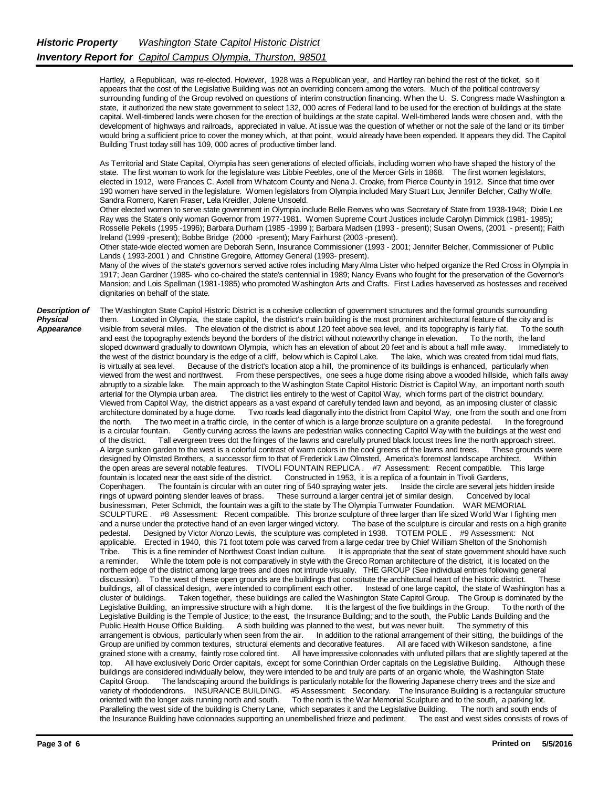Hartley, a Republican, was re-elected. However, 1928 was a Republican year, and Hartley ran behind the rest of the ticket, so it appears that the cost of the Legislative Building was not an overriding concern among the voters. Much of the political controversy surrounding funding of the Group revolved on questions of interim construction financing. When the U. S. Congress made Washington a state, it authorized the new state government to select 132, 000 acres of Federal land to be used for the erection of buildings at the state capital. Well-timbered lands were chosen for the erection of buildings at the state capital. Well-timbered lands were chosen and, with the development of highways and railroads, appreciated in value. At issue was the question of whether or not the sale of the land or its timber would bring a sufficient price to cover the money which, at that point, would already have been expended. It appears they did. The Capitol Building Trust today still has 109, 000 acres of productive timber land.

As Territorial and State Capital, Olympia has seen generations of elected officials, including women who have shaped the history of the state. The first woman to work for the legislature was Libbie Peebles, one of the Mercer Girls in 1868. The first women legislators, elected in 1912, were Frances C. Axtell from Whatcom County and Nena J. Croake, from Pierce County in 1912. Since that time over 190 women have served in the legislature. Women legislators from Olympia included Mary Stuart Lux, Jennifer Belcher, Cathy Wolfe, Sandra Romero, Karen Fraser, Lela Kreidler, Jolene Unsoeld.

 Other elected women to serve state government in Olympia include Belle Reeves who was Secretary of State from 1938-1948; Dixie Lee Ray was the State's only woman Governor from 1977-1981. Women Supreme Court Justices include Carolyn Dimmick (1981- 1985); Rosselle Pekelis (1995 -1996); Barbara Durham (1985 -1999 ); Barbara Madsen (1993 - present); Susan Owens, (2001 - present); Faith Ireland (1999 -present); Bobbe Bridge (2000 -present); Mary Fairhurst (2003 -present).

 Other state-wide elected women are Deborah Senn, Insurance Commissioner (1993 - 2001; Jennifer Belcher, Commissioner of Public Lands ( 1993-2001 ) and Christine Gregoire, Attorney General (1993- present).

 Many of the wives of the state's governors served active roles including Mary Alma Lister who helped organize the Red Cross in Olympia in 1917; Jean Gardner (1985- who co-chaired the state's centennial in 1989; Nancy Evans who fought for the preservation of the Governor's Mansion; and Lois Spellman (1981-1985) who promoted Washington Arts and Crafts. First Ladies haveserved as hostesses and received dignitaries on behalf of the state.

*Description of Physical* 

*Appearance*

The Washington State Capitol Historic District is a cohesive collection of government structures and the formal grounds surrounding them. Located in Olympia, the state capitol, the district's main building is the most prominent architectural feature of the city and is<br>visible from several miles The elevation of the district is about 120 feet above sea visible from several miles. The elevation of the district is about 120 feet above sea level, and its topography is fairly flat. To the sand east the topography extends beyond the borders of the district without noteworthy and east the topography extends beyond the borders of the district without noteworthy change in elevation. To the north, the land<br>sloped downward gradually to downtown Olympia. which has an elevation of about 20 feet and i sloped downward gradually to downtown Olympia, which has an elevation of about 20 feet and is about a half mile away. the west of the district boundary is the edge of a cliff, below which is Capitol Lake. The lake, which was created from tidal mud flats, is virtually at sea level. Because of the district's location atop a hill, the prominence of its buildings is enhanced, particularly when viewed from the west and northwest. From these perspectives, one sees a huge dome rising above a wooded hillside, which falls away abruptly to a sizable lake. The main approach to the Washington State Capitol Historic District is Capitol Way, an important north south arterial for the Olympia urban area. The district lies entirely to the west of Capitol Way, which forms part of the district boundary. Viewed from Capitol Way, the district appears as a vast expand of carefully tended lawn and beyond, as an imposing cluster of classic architecture dominated by a huge dome. Two roads lead diagonally into the district from Capitol Way, one from the south and one from the north. The two meet in a traffic circle, in the center of which is a large bronze sculpture on a granite pedestal. In the foreground is a circular fountain. Gently curving across the lawns are pedestrian walks connecting Capitol Way with the buildings at the west end<br>of the district. Tall evergreen trees dot the fringes of the lawns and carefully pruned Tall evergreen trees dot the fringes of the lawns and carefully pruned black locust trees line the north approach street. A large sunken garden to the west is a colorful contrast of warm colors in the cool greens of the lawns and trees. These grounds were designed by Olmsted Brothers, a successor firm to that of Frederick Law Olmsted, America's foremost landscape architect. Within the open areas are several notable features. TIVOLI FOUNTAIN REPLICA . #7 Assessment: Recent compatible. This large fountain is located near the east side of the district. Constructed in 1953, it is a replica of a fountain in Tivoli Gardens, Copenhagen. The fountain is circular with an outer ring of 540 spraying water jets. Inside the circle are several jets hidden inside rings of upward pointing slender leaves of brass. These surround a larger central jet of similar design. Conceived by local businessman, Peter Schmidt, the fountain was a gift to the state by The Olympia Tumwater Foundation. WAR MEMORIAL SCULPTURE . #8 Assessment: Recent compatible. This bronze sculpture of three larger than life sized World War I fighting men and a nurse under the protective hand of an even larger winged victory. The base of the sculpture is circular and rests on a high granite pedestal. Designed by Victor Alonzo Lewis, the sculpture was completed in 1938. TOTEM POLE . #9 Assessment: Not<br>applicable. Erected in 1940, this 71 foot totem pole was carved from a large cedar tree by Chief William Shelt e. Erected in 1940, this 71 foot totem pole was carved from a large cedar tree by Chief William Shelton of the Snohomish<br>This is a fine reminder of Northwest Coast Indian culture. It is appropriate that the seat of state g Tribe. This is a fine reminder of Northwest Coast Indian culture. It is appropriate that the seat of state government should have such a reminder. While the totem pole is not comparatively in style with the Greco Roman architecture of the district, it is located on the northern edge of the district among large trees and does not intrude visually. THE GROUP (See individual entries following general discussion). To the west of these open grounds are the buildings that constitute the architectural heart of the historic district. These buildings, all of classical design, were intended to compliment each other. Instead of one large capitol, the state of Washington has a cluster of buildings. Taken together, these buildings are called the Washington State Capitol Group. The Group is dominated by the Legislative Building, an impressive structure with a high dome. It is the largest of the fi Legislative Building, an impressive structure with a high dome. It is the largest of the five buildings in the Group. Legislative Building is the Temple of Justice; to the east, the Insurance Building; and to the south, the Public Lands Building and the Public Health House Office Building. A sixth building was planned to the west, but was never built. The symmetry of this arrangement is obvious, particularly when seen from the air. In addition to the rational arrangement of their sitting, the buildings of the Group are unified by common textures, structural elements and decorative features. All are faced with Wilkeson sandstone, a fine grained stone with a creamy, faintly rose colored tint. All have impressive colonnades with unfluted pillars that are slightly tapered at the top. All have exclusively Doric Order capitals, except for some Corinthian Order capitals on the Legislative Building. Although these buildings are considered individually below, they were intended to be and truly are parts of an organic whole, the Washington State Capitol Group. The landscaping around the buildings is particularly notable for the flowering Japanese cherry trees and the size and variety of rhododendrons. INSURANCE BUILDING. #5 Assessment: Secondary. The Insurance Building is a rectangular structure oriented with the longer axis running north and south. To the north is the War Memorial Sculpture and to the south, a parking lot. Paralleling the west side of the building is Cherry Lane, which separates it and the Legislative Building. The north and south ends of the Insurance Building have colonnades supporting an unembellished frieze and pediment. The east and west sides consists of rows of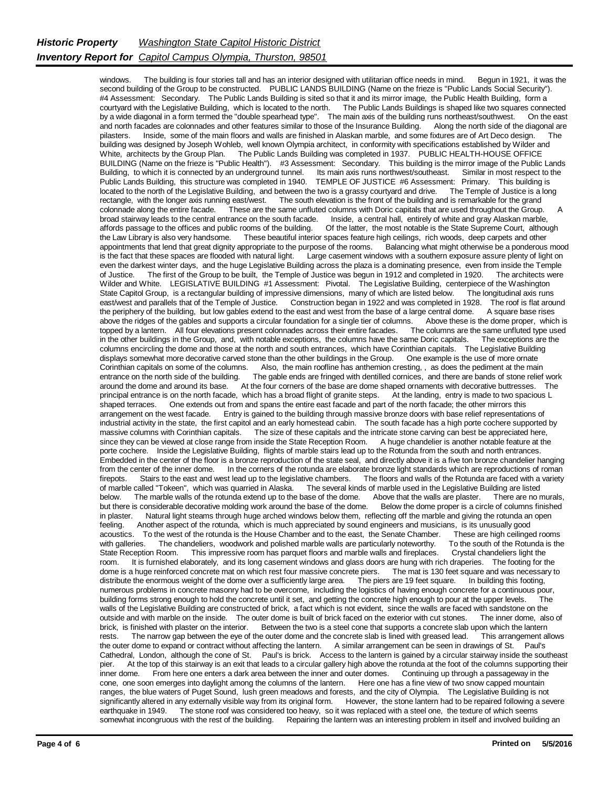windows. The building is four stories tall and has an interior designed with utilitarian office needs in mind. Begun in 1921, it was the second building of the Group to be constructed. PUBLIC LANDS BUILDING (Name on the frieze is "Public Lands Social Security"). #4 Assessment: Secondary. The Public Lands Building is sited so that it and its mirror image, the Public Health Building, form a courtyard with the Legislative Building, which is located to the north. The Public Lands Buildings is shaped like two squares connected by a wide diagonal in a form termed the "double spearhead type". The main axis of the building runs northeast/southwest. On the east and north facades are colonnades and other features similar to those of the Insurance Bui and north facades are colonnades and other features similar to those of the Insurance Building. pilasters. Inside, some of the main floors and walls are finished in Alaskan marble, and some fixtures are of Art Deco design. The building was designed by Joseph Wohleb, well known Olympia architect, in conformity with specifications established by Wilder and<br>White, architects by the Group Plan. The Public Lands Building was completed in 1937. PUBLIC The Public Lands Building was completed in 1937. PUBLIC HEALTH-HOUSE OFFICE BUILDING (Name on the frieze is "Public Health"). #3 Assessment: Secondary. This building is the mirror image of the Public Lands Building, to which it is connected by an underground tunnel. Its main axis runs northwest/southeast. Similar in most respect to the Public Lands Building, this structure was completed in 1940. TEMPLE OF JUSTICE #6 Assessment: Primary. This building is located to the north of the Legislative Building, and between the two is a grassy courtyard and drive. The Temple of Justice is a long rectangle, with the longer axis running east/west. The south elevation is the front of the building and is remarkable for the grand colonnade along the entire facade. These are the same unfluted columns with Doric capitals that are used throughout the Group. A broad stairway leads to the central entrance on the south facade. Inside, a central hall, entirely of white and gray Alaskan marble, affords passage to the offices and public rooms of the building. Of the latter, the most notable is the State Supreme Court, although the Law Library is also very handsome. These beautiful interior spaces feature high ceilings, rich woods, deep carpets and other appointments that lend that great dignity appropriate to the purpose of the rooms. Balancing appointments that lend that great dignity appropriate to the purpose of the rooms. is the fact that these spaces are flooded with natural light. Large casement windows with a southern exposure assure plenty of light on even the darkest winter days, and the huge Legislative Building across the plaza is a dominating presence, even from inside the Temple of Justice. The first of the Group to be built, the Temple of Justice was begun in 1912 The first of the Group to be built, the Temple of Justice was begun in 1912 and completed in 1920. Wilder and White. LEGISLATIVE BUILDING #1 Assessment: Pivotal. The Legislative Building, centerpiece of the Washington<br>State Capitol Group, is a rectangular building of impressive dimensions, many of which are listed below State Capitol Group, is a rectangular building of impressive dimensions, many of which are listed below. east/west and parallels that of the Temple of Justice. Construction began in 1922 and was completed in 1928. The roof is flat around<br>the periphery of the building, but low gables extend to the east and west from the base o the periphery of the building, but low gables extend to the east and west from the base of a large central dome. above the ridges of the gables and supports a circular foundation for a single tier of columns. Above these is the dome proper, which is topped by a lantern. All four elevations present colonnades across their entire facades. The columns are the same unfluted type used<br>in the other buildings in the Group, and with notable exceptions, the columns have the sa in the other buildings in the Group, and, with notable exceptions, the columns have the same Doric capitals. columns encircling the dome and those at the north and south entrances, which have Corinthian capitals. The Legislative Building displays somewhat more decorative carved stone than the other buildings in the Group. One example is the use of more ornate Corinthian capitals on some of the columns. Also, the main roofline has anthemion cresting, , as does the pediment at the main entrance on the north side of the building. The gable ends are fringed with dentilled cornices, and there are bands of stone relief work around the dome and around its base. At the four corners of the base are dome shaped ornaments with decorative buttresses. The principal entrance is on the north facade, which has a broad flight of granite steps. At the landing, entry is made to two spacious L shaped terraces. One extends out from and spans the entire east facade and part of the north facade; the other mirrors this arrangement on the west facade. Entry is gained to the building through massive bronze doors with base relief representations of industrial activity in the state, the first capitol and an early homestead cabin. The south facade has a high porte cochere supported by massive columns with Corinthian capitals. The size of these capitals and the intricate stone carving can best be appreciated here, since they can be viewed at close range from inside the State Reception Room. A huge chandelier is another notable feature at the porte cochere. Inside the Legislative Building, flights of marble stairs lead up to the Rotunda from the south and north entrances. Embedded in the center of the floor is a bronze reproduction of the state seal, and directly above it is a five ton bronze chandelier hanging from the center of the inner dome. In the corners of the rotunda are elaborate bronze light standards which are reproductions of roman<br>firepots. Stairs to the east and west lead up to the legislative chambers. The floors a Stairs to the east and west lead up to the legislative chambers. of marble called "Tokeen", which was quarried in Alaska. The several kinds of marble used in the Legislative Building are listed below. The marble walls of the rotunda extend up to the base of the dome. Above that the walls are plaster. There are no murals, but there is considerable decorative molding work around the base of the dome. Below the dome but there is considerable decorative molding work around the base of the dome. in plaster. Natural light steams through huge arched windows below them, reflecting off the marble and giving the rotunda an open feeling. Another aspect of the rotunda, which is much appreciated by sound engineers and musicians, is its unusually good acoustics. To the west of the rotunda is the House Chamber and to the east, the Senate Chamber. These are high ceilinged rooms with galleries. The chandeliers, woodwork and polished marble walls are particularly noteworthy. To the south of the Rotunda is the State Reception Room. This impressive room has parquet floors and marble walls and firepla This impressive room has parquet floors and marble walls and fireplaces. room. It is furnished elaborately, and its long casement windows and glass doors are hung with rich draperies. The footing for the dome is a huge reinforced concrete mat on which rest four massive concrete piers. The mat i dome is a huge reinforced concrete mat on which rest four massive concrete piers. distribute the enormous weight of the dome over a sufficiently large area. The piers are 19 feet square. In building this footing, numerous problems in concrete masonry had to be overcome, including the logistics of having enough concrete for a continuous pour, building forms strong enough to hold the concrete until it set, and getting the concrete high enough to pour at the upper levels. The walls of the Legislative Building are constructed of brick, a fact which is not evident, since the walls are faced with sandstone on the outside and with marble on the inside. The outer dome is built of brick faced on the exterior with cut stones. The inner dome, also of brick, is finished with plaster on the interior. Between the two is a steel cone that supports a concrete slab upon which the lantern rests. The narrow gap between the eve of the outer dome and the concrete slab is lined w rests. The narrow gap between the eye of the outer dome and the concrete slab is lined with greased lead. the outer dome to expand or contract without affecting the lantern. A similar arrangement can be seen in drawings of St. Paul's Cathedral, London, although the cone of St. Paul's is brick. Access to the lantern is gained by a circular stairway inside the southeast pier. At the top of this stairway is an exit that leads to a circular gallery high above the rotunda at the foot of the columns supporting their inner dome. From here one enters a dark area between the inner and outer domes. Continuing up through a passageway in the cone, one soon emerges into daylight among the columns of the lantern. Here one has a fine view of two snow capped mountain ranges, the blue waters of Puget Sound, lush green meadows and forests, and the city of Olympia. The Legislative Building is not significantly altered in any externally visible way from its original form. However, the stone lantern had to be repaired following a severe earthquake in 1949. The stone roof was considered too heavy, so it was replaced with a steel one, the texture of which seems somewhat incongruous with the rest of the building. Repairing the lantern was an interesting problem in itself and involved building an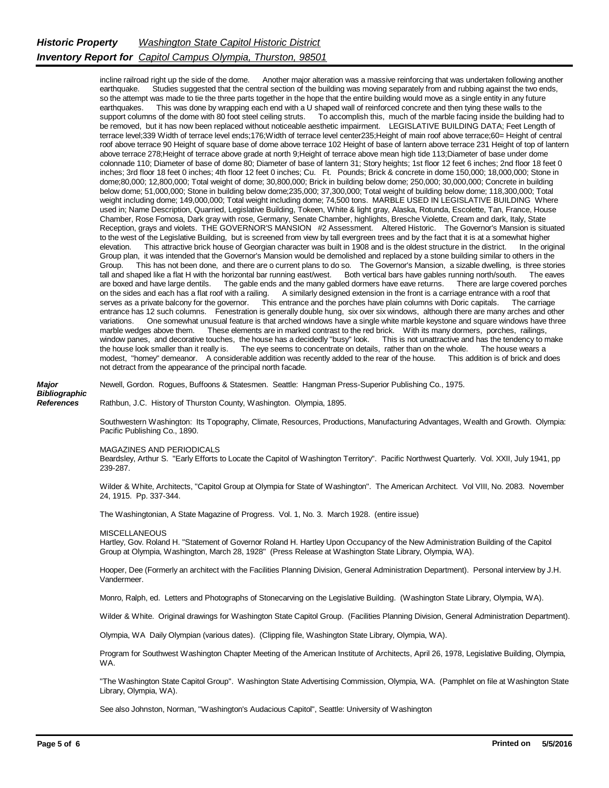incline railroad right up the side of the dome. Another major alteration was a massive reinforcing that was undertaken following another earthquake. Studies suggested that the central section of the building was moving separately from and rubbing against the two ends, so the attempt was made to tie the three parts together in the hope that the entire building would move as a single entity in any future earthquakes. This was done by wrapping each end with a U shaped wall of reinforced concrete and then tying these walls to the support columns of the dome with 80 foot steel ceiling struts. To accomplish this, much of the marble facing inside the building had to be removed, but it has now been replaced without noticeable aesthetic impairment. LEGISLATIVE BUILDING DATA; Feet Length of terrace level;339 Width of terrace level ends;176;Width of terrace level center235;Height of main roof above terrace;60= Height of central roof above terrace 90 Height of square base of dome above terrace 102 Height of base of lantern above terrace 231 Height of top of lantern above terrace 278;Height of terrace above grade at north 9;Height of terrace above mean high tide 113;Diameter of base under dome colonnade 110; Diameter of base of dome 80; Diameter of base of lantern 31; Story heights; 1st floor 12 feet 6 inches; 2nd floor 18 feet 0 inches; 3rd floor 18 feet 0 inches; 4th floor 12 feet 0 inches; Cu. Ft. Pounds; Brick & concrete in dome 150,000; 18,000,000; Stone in dome;80,000; 12,800,000; Total weight of dome; 30,800,000; Brick in building below dome; 250,000; 30,000,000; Concrete in building below dome; 51,000,000; Stone in building below dome;235,000; 37,300,000; Total weight of building below dome; 118,300,000; Total weight including dome; 149,000,000; Total weight including dome; 74,500 tons. MARBLE USED IN LEGISLATIVE BUILDING Where used in; Name Description, Quarried, Legislative Building, Tokeen, White & light gray, Alaska, Rotunda, Escolette, Tan, France, House Chamber, Rose Fomosa, Dark gray with rose, Germany, Senate Chamber, highlights, Bresche Violette, Cream and dark, Italy, State Reception, grays and violets. THE GOVERNOR'S MANSION #2 Assessment. Altered Historic. The Governor's Mansion is situated to the west of the Legislative Building, but is screened from view by tall evergreen trees and by the fact that it is at a somewhat higher elevation. This attractive brick house of Georgian character was built in 1908 and This attractive brick house of Georgian character was built in 1908 and is the oldest structure in the district. Group plan, it was intended that the Governor's Mansion would be demolished and replaced by a stone building similar to others in the Group. This has not been done, and there are o current plans to do so. The Governor's Mansion, a sizable dwelling, is three stories tall and shaped like a flat H with the horizontal bar running east/west. Both vertical bar tall and shaped like a flat H with the horizontal bar running east/west. Both vertical bars have gables running north/south. The eaves are boxed and have large dentils. The gable ends and the many gabled dormers have eave returns. There are large covered porches on the sides and each has a flat roof with a railing. A similarly designed extension in the fr A similarly designed extension in the front is a carriage entrance with a roof that sentrance and the porches have plain columns with Doric capitals. The carriage serves as a private balcony for the governor. This entrance and the porches have plain columns with Doric capitals. entrance has 12 such columns. Fenestration is generally double hung, six over six windows, although there are many arches and other variations. One somewhat unusual feature is that arched windows have a single white marble keystone and square windows have three marble wedges above them. These elements are in marked contrast to the red brick. With its many dormers, porches, railings, window panes, and decorative touches, the house has a decidedly "busy" look. This is not unattractive and has the tendency to make the house look smaller than it really is. The eye seems to concentrate on details, rather than on the whole. The house wears a modest, "homey" demeanor. A considerable addition was recently added to the rear of the house. This addition is of brick and does not detract from the appearance of the principal north facade.

*Major Bibliographic References*

Newell, Gordon. Rogues, Buffoons & Statesmen. Seattle: Hangman Press-Superior Publishing Co., 1975.

Rathbun, J.C. History of Thurston County, Washington. Olympia, 1895.

Southwestern Washington: Its Topography, Climate, Resources, Productions, Manufacturing Advantages, Wealth and Growth. Olympia: Pacific Publishing Co., 1890.

MAGAZINES AND PERIODICALS

Beardsley, Arthur S. "Early Efforts to Locate the Capitol of Washington Territory". Pacific Northwest Quarterly. Vol. XXII, July 1941, pp 239-287.

Wilder & White, Architects, "Capitol Group at Olympia for State of Washington". The American Architect. Vol VIII, No. 2083. November 24, 1915. Pp. 337-344.

The Washingtonian, A State Magazine of Progress. Vol. 1, No. 3. March 1928. (entire issue)

## MISCELL ANEOUS

Hartley, Gov. Roland H. "Statement of Governor Roland H. Hartley Upon Occupancy of the New Administration Building of the Capitol Group at Olympia, Washington, March 28, 1928" (Press Release at Washington State Library, Olympia, WA).

Hooper, Dee (Formerly an architect with the Facilities Planning Division, General Administration Department). Personal interview by J.H. Vandermeer.

Monro, Ralph, ed. Letters and Photographs of Stonecarving on the Legislative Building. (Washington State Library, Olympia, WA).

Wilder & White. Original drawings for Washington State Capitol Group. (Facilities Planning Division, General Administration Department).

Olympia, WA Daily Olympian (various dates). (Clipping file, Washington State Library, Olympia, WA).

Program for Southwest Washington Chapter Meeting of the American Institute of Architects, April 26, 1978, Legislative Building, Olympia, WA.

"The Washington State Capitol Group". Washington State Advertising Commission, Olympia, WA. (Pamphlet on file at Washington State Library, Olympia, WA).

See also Johnston, Norman, "Washington's Audacious Capitol", Seattle: University of Washington